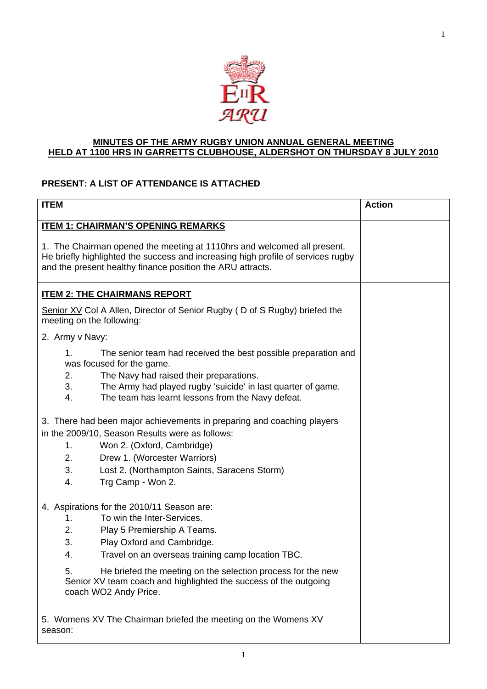

# **MINUTES OF THE ARMY RUGBY UNION ANNUAL GENERAL MEETING HELD AT 1100 HRS IN GARRETTS CLUBHOUSE, ALDERSHOT ON THURSDAY 8 JULY 2010**

# **PRESENT: A LIST OF ATTENDANCE IS ATTACHED**

| <b>ITEM</b>                                                                                                                                                                                                                                                                             | <b>Action</b> |  |  |  |  |
|-----------------------------------------------------------------------------------------------------------------------------------------------------------------------------------------------------------------------------------------------------------------------------------------|---------------|--|--|--|--|
| <b>ITEM 1: CHAIRMAN'S OPENING REMARKS</b>                                                                                                                                                                                                                                               |               |  |  |  |  |
| 1. The Chairman opened the meeting at 1110hrs and welcomed all present.<br>He briefly highlighted the success and increasing high profile of services rugby<br>and the present healthy finance position the ARU attracts.                                                               |               |  |  |  |  |
| <b>ITEM 2: THE CHAIRMANS REPORT</b>                                                                                                                                                                                                                                                     |               |  |  |  |  |
| Senior XV Col A Allen, Director of Senior Rugby (D of S Rugby) briefed the<br>meeting on the following:                                                                                                                                                                                 |               |  |  |  |  |
| 2. Army v Navy:                                                                                                                                                                                                                                                                         |               |  |  |  |  |
| 1.<br>The senior team had received the best possible preparation and<br>was focused for the game.<br>2.<br>The Navy had raised their preparations.<br>3.<br>The Army had played rugby 'suicide' in last quarter of game.<br>The team has learnt lessons from the Navy defeat.<br>4.     |               |  |  |  |  |
| 3. There had been major achievements in preparing and coaching players<br>in the 2009/10, Season Results were as follows:                                                                                                                                                               |               |  |  |  |  |
| 1.<br>Won 2. (Oxford, Cambridge)                                                                                                                                                                                                                                                        |               |  |  |  |  |
| 2.<br>Drew 1. (Worcester Warriors)                                                                                                                                                                                                                                                      |               |  |  |  |  |
| 3.<br>Lost 2. (Northampton Saints, Saracens Storm)<br>Trg Camp - Won 2.<br>4.                                                                                                                                                                                                           |               |  |  |  |  |
| 4. Aspirations for the 2010/11 Season are:<br>To win the Inter-Services.<br>1.<br>2.<br>Play 5 Premiership A Teams.<br>3.<br>Play Oxford and Cambridge.<br>4.<br>Travel on an overseas training camp location TBC.<br>He briefed the meeting on the selection process for the new<br>5. |               |  |  |  |  |
| Senior XV team coach and highlighted the success of the outgoing<br>coach WO2 Andy Price.<br>5. Womens XV The Chairman briefed the meeting on the Womens XV<br>season:                                                                                                                  |               |  |  |  |  |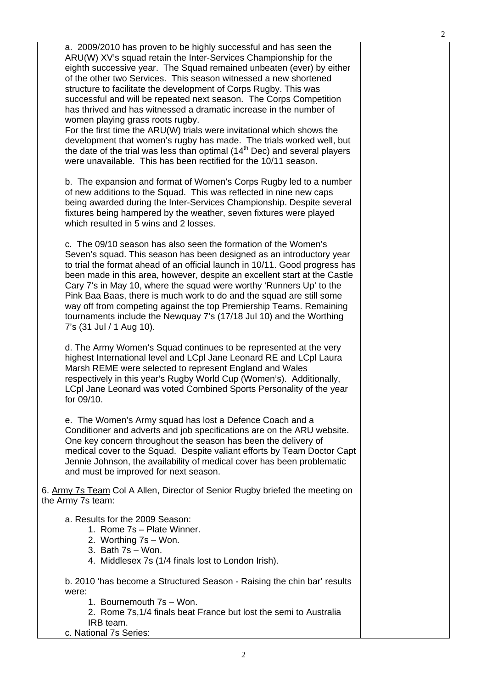a. 2009/2010 has proven to be highly successful and has seen the ARU(W) XV's squad retain the Inter-Services Championship for the eighth successive year. The Squad remained unbeaten (ever) by either of the other two Services. This season witnessed a new shortened structure to facilitate the development of Corps Rugby. This was successful and will be repeated next season. The Corps Competition has thrived and has witnessed a dramatic increase in the number of women playing grass roots rugby.

For the first time the ARU(W) trials were invitational which shows the development that women's rugby has made. The trials worked well, but the date of the trial was less than optimal  $(14<sup>th</sup>$  Dec) and several players were unavailable. This has been rectified for the 10/11 season.

b. The expansion and format of Women's Corps Rugby led to a number of new additions to the Squad. This was reflected in nine new caps being awarded during the Inter-Services Championship. Despite several fixtures being hampered by the weather, seven fixtures were played which resulted in 5 wins and 2 losses.

c. The 09/10 season has also seen the formation of the Women's Seven's squad. This season has been designed as an introductory year to trial the format ahead of an official launch in 10/11. Good progress has been made in this area, however, despite an excellent start at the Castle Cary 7's in May 10, where the squad were worthy 'Runners Up' to the Pink Baa Baas, there is much work to do and the squad are still some way off from competing against the top Premiership Teams. Remaining tournaments include the Newquay 7's (17/18 Jul 10) and the Worthing 7's (31 Jul / 1 Aug 10).

d. The Army Women's Squad continues to be represented at the very highest International level and LCpl Jane Leonard RE and LCpl Laura Marsh REME were selected to represent England and Wales respectively in this year's Rugby World Cup (Women's). Additionally, LCpl Jane Leonard was voted Combined Sports Personality of the year for 09/10.

e. The Women's Army squad has lost a Defence Coach and a Conditioner and adverts and job specifications are on the ARU website. One key concern throughout the season has been the delivery of medical cover to the Squad. Despite valiant efforts by Team Doctor Capt Jennie Johnson, the availability of medical cover has been problematic and must be improved for next season.

6. Army 7s Team Col A Allen, Director of Senior Rugby briefed the meeting on the Army 7s team:

a. Results for the 2009 Season:

- 1. Rome 7s Plate Winner.
- 2. Worthing 7s Won.
- 3. Bath 7s Won.
- 4. Middlesex 7s (1/4 finals lost to London Irish).

b. 2010 'has become a Structured Season - Raising the chin bar' results were:

1. Bournemouth 7s – Won.

2. Rome 7s,1/4 finals beat France but lost the semi to Australia IRB team.

c. National 7s Series: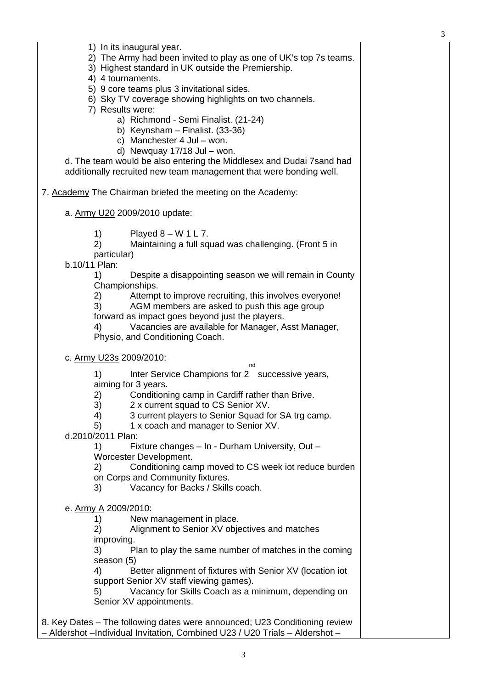| 1) In its inaugural year.<br>2) The Army had been invited to play as one of UK's top 7s teams.<br>3) Highest standard in UK outside the Premiership.<br>4) 4 tournaments.<br>5) 9 core teams plus 3 invitational sides.<br>6) Sky TV coverage showing highlights on two channels.<br>7) Results were:<br>a) Richmond - Semi Finalist. (21-24)<br>b) Keynsham $-$ Finalist. (33-36)<br>c) Manchester 4 Jul - won.<br>d) Newquay $17/18$ Jul - won.<br>d. The team would be also entering the Middlesex and Dudai 7 sand had<br>additionally recruited new team management that were bonding well. |  |
|--------------------------------------------------------------------------------------------------------------------------------------------------------------------------------------------------------------------------------------------------------------------------------------------------------------------------------------------------------------------------------------------------------------------------------------------------------------------------------------------------------------------------------------------------------------------------------------------------|--|
| 7. Academy The Chairman briefed the meeting on the Academy:                                                                                                                                                                                                                                                                                                                                                                                                                                                                                                                                      |  |
| a. Army U20 2009/2010 update:                                                                                                                                                                                                                                                                                                                                                                                                                                                                                                                                                                    |  |
| 1)<br>Played $8 - W 1 L 7$ .<br>2)<br>Maintaining a full squad was challenging. (Front 5 in<br>particular)<br>b.10/11 Plan:<br>Despite a disappointing season we will remain in County<br>1)<br>Championships.<br>Attempt to improve recruiting, this involves everyone!<br>2)<br>AGM members are asked to push this age group<br>3)<br>forward as impact goes beyond just the players.<br>Vacancies are available for Manager, Asst Manager,<br>4)<br>Physio, and Conditioning Coach.                                                                                                           |  |
| c. Army U23s 2009/2010:                                                                                                                                                                                                                                                                                                                                                                                                                                                                                                                                                                          |  |
| nd<br>Inter Service Champions for 2 successive years,<br>1)<br>aiming for 3 years.<br>Conditioning camp in Cardiff rather than Brive.<br>2)<br>3)<br>2 x current squad to CS Senior XV.<br>3 current players to Senior Squad for SA trg camp.<br>4)<br>5)<br>1 x coach and manager to Senior XV.<br>d.2010/2011 Plan:<br>Fixture changes - In - Durham University, Out -<br>1)<br>Worcester Development.<br>Conditioning camp moved to CS week iot reduce burden<br>2)<br>on Corps and Community fixtures.<br>Vacancy for Backs / Skills coach.<br>3)                                            |  |
| e. Army A 2009/2010:<br>New management in place.<br>1)<br>Alignment to Senior XV objectives and matches<br>2)<br>improving.<br>Plan to play the same number of matches in the coming<br>3)<br>season (5)<br>4)<br>Better alignment of fixtures with Senior XV (location iot<br>support Senior XV staff viewing games).<br>Vacancy for Skills Coach as a minimum, depending on<br>5)<br>Senior XV appointments.                                                                                                                                                                                   |  |
|                                                                                                                                                                                                                                                                                                                                                                                                                                                                                                                                                                                                  |  |

3

8. Key Dates – The following dates were announced; U23 Conditioning review – Aldershot –Individual Invitation, Combined U23 / U20 Trials – Aldershot –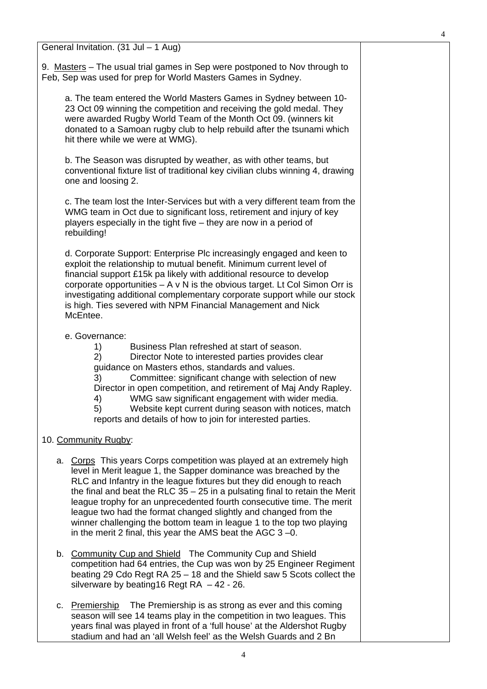4

General Invitation. (31 Jul – 1 Aug)

9. Masters – The usual trial games in Sep were postponed to Nov through to Feb, Sep was used for prep for World Masters Games in Sydney.

a. The team entered the World Masters Games in Sydney between 10- 23 Oct 09 winning the competition and receiving the gold medal. They were awarded Rugby World Team of the Month Oct 09. (winners kit donated to a Samoan rugby club to help rebuild after the tsunami which hit there while we were at WMG).

b. The Season was disrupted by weather, as with other teams, but conventional fixture list of traditional key civilian clubs winning 4, drawing one and loosing 2.

c. The team lost the Inter-Services but with a very different team from the WMG team in Oct due to significant loss, retirement and injury of key players especially in the tight five – they are now in a period of rebuilding!

d. Corporate Support: Enterprise Plc increasingly engaged and keen to exploit the relationship to mutual benefit. Minimum current level of financial support £15k pa likely with additional resource to develop corporate opportunities  $- A \vee N$  is the obvious target. Lt Col Simon Orr is investigating additional complementary corporate support while our stock is high. Ties severed with NPM Financial Management and Nick McEntee.

#### e. Governance:

1) Business Plan refreshed at start of season.

2) Director Note to interested parties provides clear guidance on Masters ethos, standards and values.

3) Committee: significant change with selection of new Director in open competition, and retirement of Maj Andy Rapley. 4) WMG saw significant engagement with wider media.

5) Website kept current during season with notices, match reports and details of how to join for interested parties.

#### 10. Community Rugby:

- a. Corps This years Corps competition was played at an extremely high level in Merit league 1, the Sapper dominance was breached by the RLC and Infantry in the league fixtures but they did enough to reach the final and beat the RLC  $35 - 25$  in a pulsating final to retain the Merit league trophy for an unprecedented fourth consecutive time. The merit league two had the format changed slightly and changed from the winner challenging the bottom team in league 1 to the top two playing in the merit 2 final, this year the AMS beat the AGC 3 –0.
- b. Community Cup and Shield The Community Cup and Shield competition had 64 entries, the Cup was won by 25 Engineer Regiment beating 29 Cdo Regt RA 25 – 18 and the Shield saw 5 Scots collect the silverware by beating 16 Regt RA  $-42 - 26$ .
- c. Premiership The Premiership is as strong as ever and this coming season will see 14 teams play in the competition in two leagues. This years final was played in front of a 'full house' at the Aldershot Rugby stadium and had an 'all Welsh feel' as the Welsh Guards and 2 Bn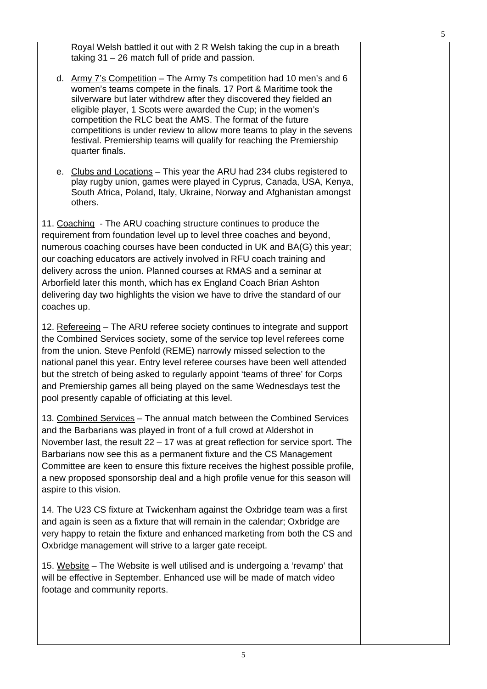Royal Welsh battled it out with 2 R Welsh taking the cup in a breath taking 31 – 26 match full of pride and passion.

- d. Army 7's Competition The Army 7s competition had 10 men's and 6 women's teams compete in the finals. 17 Port & Maritime took the silverware but later withdrew after they discovered they fielded an eligible player, 1 Scots were awarded the Cup; in the women's competition the RLC beat the AMS. The format of the future competitions is under review to allow more teams to play in the sevens festival. Premiership teams will qualify for reaching the Premiership quarter finals.
- e. Clubs and Locations This year the ARU had 234 clubs registered to play rugby union, games were played in Cyprus, Canada, USA, Kenya, South Africa, Poland, Italy, Ukraine, Norway and Afghanistan amongst others.

11. Coaching - The ARU coaching structure continues to produce the requirement from foundation level up to level three coaches and beyond, numerous coaching courses have been conducted in UK and BA(G) this year; our coaching educators are actively involved in RFU coach training and delivery across the union. Planned courses at RMAS and a seminar at Arborfield later this month, which has ex England Coach Brian Ashton delivering day two highlights the vision we have to drive the standard of our coaches up.

12. Refereeing – The ARU referee society continues to integrate and support the Combined Services society, some of the service top level referees come from the union. Steve Penfold (REME) narrowly missed selection to the national panel this year. Entry level referee courses have been well attended but the stretch of being asked to regularly appoint 'teams of three' for Corps and Premiership games all being played on the same Wednesdays test the pool presently capable of officiating at this level.

13. Combined Services – The annual match between the Combined Services and the Barbarians was played in front of a full crowd at Aldershot in November last, the result 22 – 17 was at great reflection for service sport. The Barbarians now see this as a permanent fixture and the CS Management Committee are keen to ensure this fixture receives the highest possible profile, a new proposed sponsorship deal and a high profile venue for this season will aspire to this vision.

14. The U23 CS fixture at Twickenham against the Oxbridge team was a first and again is seen as a fixture that will remain in the calendar; Oxbridge are very happy to retain the fixture and enhanced marketing from both the CS and Oxbridge management will strive to a larger gate receipt.

15. Website – The Website is well utilised and is undergoing a 'revamp' that will be effective in September. Enhanced use will be made of match video footage and community reports.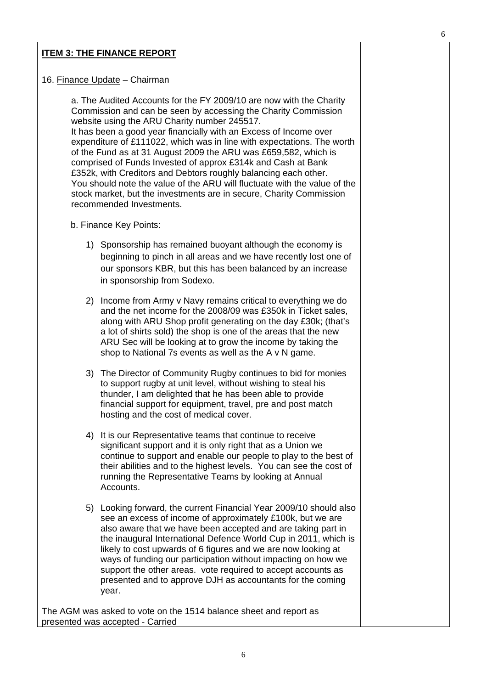### **ITEM 3: THE FINANCE REPORT**

#### 16. Finance Update – Chairman

a. The Audited Accounts for the FY 2009/10 are now with the Charity Commission and can be seen by accessing the Charity Commission website using the ARU Charity number 245517.

It has been a good year financially with an Excess of Income over expenditure of £111022, which was in line with expectations. The worth of the Fund as at 31 August 2009 the ARU was £659,582, which is comprised of Funds Invested of approx £314k and Cash at Bank £352k, with Creditors and Debtors roughly balancing each other. You should note the value of the ARU will fluctuate with the value of the stock market, but the investments are in secure, Charity Commission recommended Investments.

- b. Finance Key Points:
	- 1) Sponsorship has remained buoyant although the economy is beginning to pinch in all areas and we have recently lost one of our sponsors KBR, but this has been balanced by an increase in sponsorship from Sodexo.
	- 2) Income from Army v Navy remains critical to everything we do and the net income for the 2008/09 was £350k in Ticket sales, along with ARU Shop profit generating on the day £30k; (that's a lot of shirts sold) the shop is one of the areas that the new ARU Sec will be looking at to grow the income by taking the shop to National 7s events as well as the A v N game.
	- 3) The Director of Community Rugby continues to bid for monies to support rugby at unit level, without wishing to steal his thunder, I am delighted that he has been able to provide financial support for equipment, travel, pre and post match hosting and the cost of medical cover.
	- 4) It is our Representative teams that continue to receive significant support and it is only right that as a Union we continue to support and enable our people to play to the best of their abilities and to the highest levels. You can see the cost of running the Representative Teams by looking at Annual Accounts.
	- 5) Looking forward, the current Financial Year 2009/10 should also see an excess of income of approximately £100k, but we are also aware that we have been accepted and are taking part in the inaugural International Defence World Cup in 2011, which is likely to cost upwards of 6 figures and we are now looking at ways of funding our participation without impacting on how we support the other areas. vote required to accept accounts as presented and to approve DJH as accountants for the coming year.

The AGM was asked to vote on the 1514 balance sheet and report as presented was accepted - Carried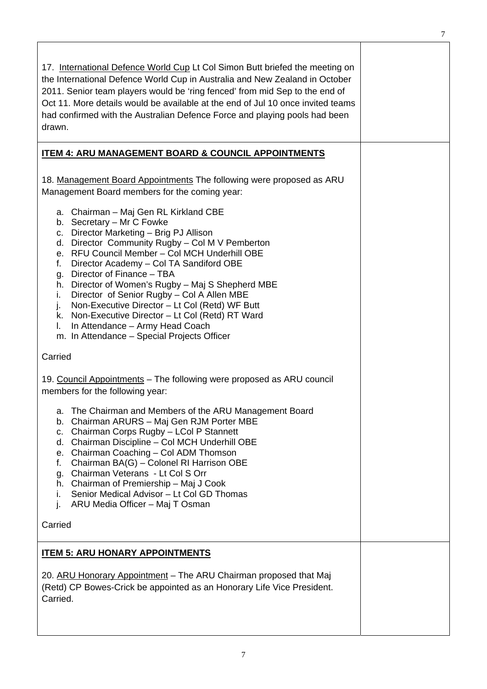| 17. International Defence World Cup Lt Col Simon Butt briefed the meeting on<br>the International Defence World Cup in Australia and New Zealand in October<br>2011. Senior team players would be 'ring fenced' from mid Sep to the end of<br>Oct 11. More details would be available at the end of Jul 10 once invited teams<br>had confirmed with the Australian Defence Force and playing pools had been<br>drawn.                                                                                                                                                                                            |  |  |  |  |  |
|------------------------------------------------------------------------------------------------------------------------------------------------------------------------------------------------------------------------------------------------------------------------------------------------------------------------------------------------------------------------------------------------------------------------------------------------------------------------------------------------------------------------------------------------------------------------------------------------------------------|--|--|--|--|--|
| <b>ITEM 4: ARU MANAGEMENT BOARD &amp; COUNCIL APPOINTMENTS</b>                                                                                                                                                                                                                                                                                                                                                                                                                                                                                                                                                   |  |  |  |  |  |
| 18. Management Board Appointments The following were proposed as ARU<br>Management Board members for the coming year:                                                                                                                                                                                                                                                                                                                                                                                                                                                                                            |  |  |  |  |  |
| a. Chairman - Maj Gen RL Kirkland CBE<br>b. Secretary - Mr C Fowke<br>c. Director Marketing - Brig PJ Allison<br>d. Director Community Rugby - Col M V Pemberton<br>e. RFU Council Member - Col MCH Underhill OBE<br>Director Academy - Col TA Sandiford OBE<br>f.<br>g. Director of Finance - TBA<br>h. Director of Women's Rugby - Maj S Shepherd MBE<br>Director of Senior Rugby - Col A Allen MBE<br>i.<br>Non-Executive Director - Lt Col (Retd) WF Butt<br>j.<br>k. Non-Executive Director - Lt Col (Retd) RT Ward<br>In Attendance - Army Head Coach<br>L.<br>m. In Attendance - Special Projects Officer |  |  |  |  |  |
| Carried                                                                                                                                                                                                                                                                                                                                                                                                                                                                                                                                                                                                          |  |  |  |  |  |
| 19. Council Appointments - The following were proposed as ARU council<br>members for the following year:                                                                                                                                                                                                                                                                                                                                                                                                                                                                                                         |  |  |  |  |  |
| a. The Chairman and Members of the ARU Management Board<br>b. Chairman ARURS - Maj Gen RJM Porter MBE<br>Chairman Corps Rugby - LCol P Stannett<br>C.<br>Chairman Discipline - Col MCH Underhill OBE<br>d.<br>e. Chairman Coaching - Col ADM Thomson<br>Chairman BA(G) - Colonel RI Harrison OBE<br>f.<br>Chairman Veterans - Lt Col S Orr<br>g.<br>h. Chairman of Premiership - Maj J Cook<br>Senior Medical Advisor - Lt Col GD Thomas<br>L.<br>ARU Media Officer - Maj T Osman<br>j.                                                                                                                          |  |  |  |  |  |
| Carried                                                                                                                                                                                                                                                                                                                                                                                                                                                                                                                                                                                                          |  |  |  |  |  |
| <b>ITEM 5: ARU HONARY APPOINTMENTS</b>                                                                                                                                                                                                                                                                                                                                                                                                                                                                                                                                                                           |  |  |  |  |  |
| 20. ARU Honorary Appointment – The ARU Chairman proposed that Maj<br>(Retd) CP Bowes-Crick be appointed as an Honorary Life Vice President.<br>Carried.                                                                                                                                                                                                                                                                                                                                                                                                                                                          |  |  |  |  |  |

7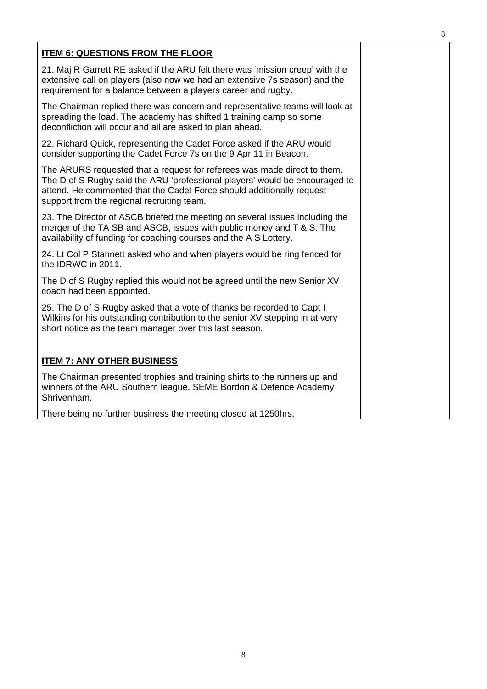| <b>ITEM 6: QUESTIONS FROM THE FLOOR</b>                                                                                                                                                                                                                                        |  |
|--------------------------------------------------------------------------------------------------------------------------------------------------------------------------------------------------------------------------------------------------------------------------------|--|
| 21. Maj R Garrett RE asked if the ARU felt there was 'mission creep' with the<br>extensive call on players (also now we had an extensive 7s season) and the<br>requirement for a balance between a players career and rugby.                                                   |  |
| The Chairman replied there was concern and representative teams will look at<br>spreading the load. The academy has shifted 1 training camp so some<br>deconfliction will occur and all are asked to plan ahead.                                                               |  |
| 22. Richard Quick, representing the Cadet Force asked if the ARU would<br>consider supporting the Cadet Force 7s on the 9 Apr 11 in Beacon.                                                                                                                                    |  |
| The ARURS requested that a request for referees was made direct to them.<br>The D of S Rugby said the ARU 'professional players' would be encouraged to<br>attend. He commented that the Cadet Force should additionally request<br>support from the regional recruiting team. |  |
| 23. The Director of ASCB briefed the meeting on several issues including the<br>merger of the TA SB and ASCB, issues with public money and T & S. The<br>availability of funding for coaching courses and the A S Lottery.                                                     |  |
| 24. Lt Col P Stannett asked who and when players would be ring fenced for<br>the IDRWC in 2011.                                                                                                                                                                                |  |
| The D of S Rugby replied this would not be agreed until the new Senior XV<br>coach had been appointed.                                                                                                                                                                         |  |
| 25. The D of S Rugby asked that a vote of thanks be recorded to Capt I<br>Wilkins for his outstanding contribution to the senior XV stepping in at very<br>short notice as the team manager over this last season.                                                             |  |
| <b>ITEM 7: ANY OTHER BUSINESS</b>                                                                                                                                                                                                                                              |  |
| The Chairman presented trophies and training shirts to the runners up and<br>winners of the ARU Southern league. SEME Bordon & Defence Academy<br>Shrivenham.                                                                                                                  |  |
| There being no further business the meeting closed at 1250hrs.                                                                                                                                                                                                                 |  |